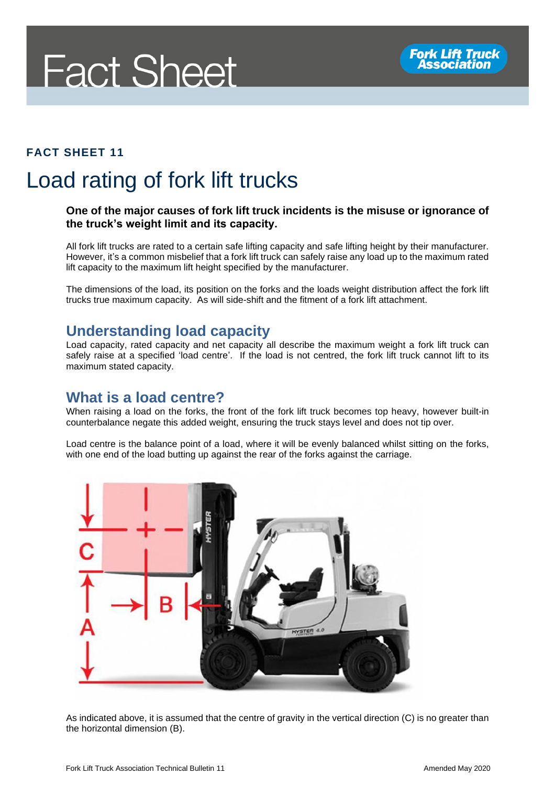

#### **FACT SHEET 11**

# Load rating of fork lift trucks

#### **One of the major causes of fork lift truck incidents is the misuse or ignorance of the truck's weight limit and its capacity.**

All fork lift trucks are rated to a certain safe lifting capacity and safe lifting height by their manufacturer. However, it's a common misbelief that a fork lift truck can safely raise any load up to the maximum rated lift capacity to the maximum lift height specified by the manufacturer.

The dimensions of the load, its position on the forks and the loads weight distribution affect the fork lift trucks true maximum capacity. As will side-shift and the fitment of a fork lift attachment.

#### **Understanding load capacity**

Load capacity, rated capacity and net capacity all describe the maximum weight a fork lift truck can safely raise at a specified 'load centre'. If the load is not centred, the fork lift truck cannot lift to its maximum stated capacity.

#### **What is a load centre?**

When raising a load on the forks, the front of the fork lift truck becomes top heavy, however built-in counterbalance negate this added weight, ensuring the truck stays level and does not tip over.

Load centre is the balance point of a load, where it will be evenly balanced whilst sitting on the forks, with one end of the load butting up against the rear of the forks against the carriage.



As indicated above, it is assumed that the centre of gravity in the vertical direction (C) is no greater than the horizontal dimension (B).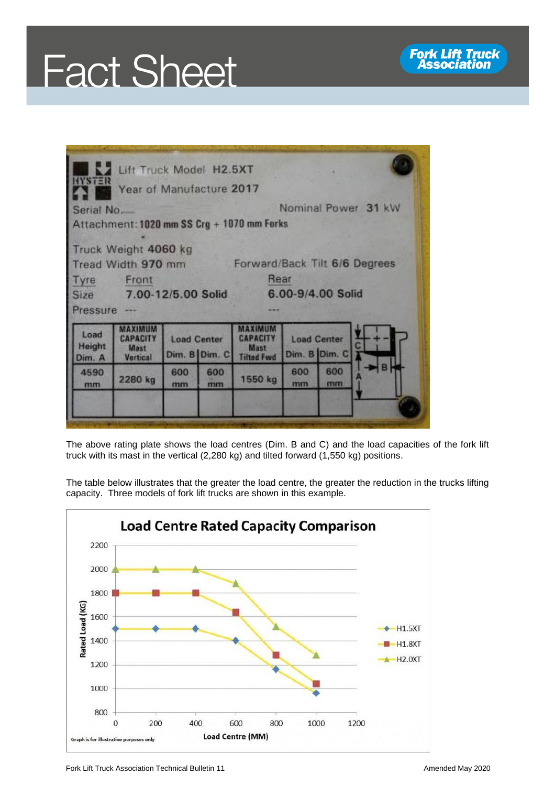



| <b>HYSTER</b>                                                                   | Lift Truck Model H2.5XT<br>Year of Manufacture 2017 |                                     |           |                                                        |                   |                                     |  |
|---------------------------------------------------------------------------------|-----------------------------------------------------|-------------------------------------|-----------|--------------------------------------------------------|-------------------|-------------------------------------|--|
| Nominal Power 31 kW<br>Serial No.<br>Attachment: 1020 mm SS Crg + 1070 mm Forks |                                                     |                                     |           |                                                        |                   |                                     |  |
| Truck Weight 4060 kg<br>Forward/Back Tilt 6/6 Degrees<br>Tread Width 970 mm     |                                                     |                                     |           |                                                        |                   |                                     |  |
| Tyre<br>Size<br>Pressure ---                                                    | Front<br>7.00-12/5.00 Solid                         |                                     |           | Rear                                                   | 6.00-9/4.00 Solid |                                     |  |
| Load<br>Height<br>Dim. A                                                        | <b>CAPACITY</b><br>Mast<br>Vertical                 | <b>Load Center</b><br>Dim. B Dim. C |           | махими<br><b>CAPACITY</b><br>Mast<br><b>Tilted Fwd</b> |                   | <b>Load Center</b><br>Dim. B Dim. C |  |
| 4590<br>mm                                                                      | 2280 kg                                             | 600<br>mm                           | 600<br>mm | 1550 kg                                                | 600<br>mm         | 600<br>mm                           |  |
|                                                                                 |                                                     |                                     |           |                                                        |                   |                                     |  |

The above rating plate shows the load centres (Dim. B and C) and the load capacities of the fork lift truck with its mast in the vertical (2,280 kg) and tilted forward (1,550 kg) positions.

The table below illustrates that the greater the load centre, the greater the reduction in the trucks lifting capacity. Three models of fork lift trucks are shown in this example.

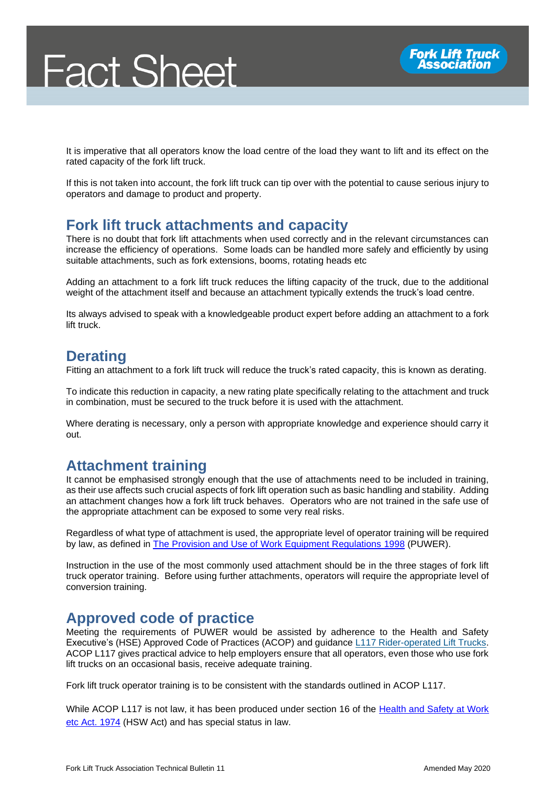It is imperative that all operators know the load centre of the load they want to lift and its effect on the rated capacity of the fork lift truck.

If this is not taken into account, the fork lift truck can tip over with the potential to cause serious injury to operators and damage to product and property.

#### **Fork lift truck attachments and capacity**

There is no doubt that fork lift attachments when used correctly and in the relevant circumstances can increase the efficiency of operations. Some loads can be handled more safely and efficiently by using suitable attachments, such as fork extensions, booms, rotating heads etc

Adding an attachment to a fork lift truck reduces the lifting capacity of the truck, due to the additional weight of the attachment itself and because an attachment typically extends the truck's load centre.

Its always advised to speak with a knowledgeable product expert before adding an attachment to a fork lift truck.

### **Derating**

Fitting an attachment to a fork lift truck will reduce the truck's rated capacity, this is known as derating.

To indicate this reduction in capacity, a new rating plate specifically relating to the attachment and truck in combination, must be secured to the truck before it is used with the attachment.

Where derating is necessary, only a person with appropriate knowledge and experience should carry it out.

#### **Attachment training**

It cannot be emphasised strongly enough that the use of attachments need to be included in training, as their use affects such crucial aspects of fork lift operation such as basic handling and stability. Adding an attachment changes how a fork lift truck behaves. Operators who are not trained in the safe use of the appropriate attachment can be exposed to some very real risks.

Regardless of what type of attachment is used, the appropriate level of operator training will be required by law, as defined in [The Provision and Use of Work Equipment Regulations 1998](http://www.legislation.gov.uk/uksi/1998/2306/contents/made) (PUWER).

Instruction in the use of the most commonly used attachment should be in the three stages of fork lift truck operator training. Before using further attachments, operators will require the appropriate level of conversion training.

#### **Approved code of practice**

Meeting the requirements of PUWER would be assisted by adherence to the Health and Safety Executive's (HSE) Approved Code of Practices (ACOP) and guidance [L117 Rider-operated Lift Trucks.](http://www.hse.gov.uk/pUbns/priced/l117.pdf) ACOP L117 gives practical advice to help employers ensure that all operators, even those who use fork lift trucks on an occasional basis, receive adequate training.

Fork lift truck operator training is to be consistent with the standards outlined in ACOP L117.

While ACOP L117 is not law, it has been produced under section 16 of the Health and Safety at Work [etc Act. 1974](http://www.legislation.gov.uk/ukpga/1974/37/section/16) (HSW Act) and has special status in law.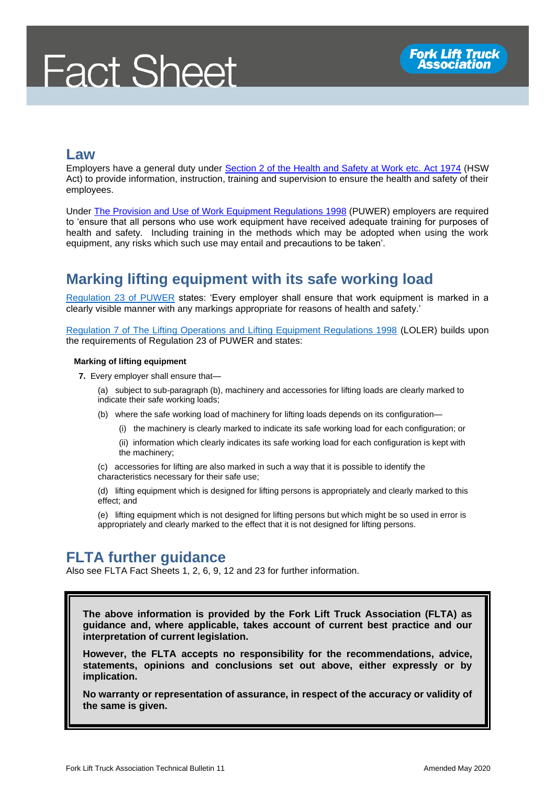# **Fact Sheet**

#### **Law**

Employers have a general duty under [Section 2 of the Health and Safety at Work etc. Act 1974](http://www.legislation.gov.uk/ukpga/1974/37/section/2) (HSW Act) to provide information, instruction, training and supervision to ensure the health and safety of their employees.

Under [The Provision and Use of Work Equipment Regulations 1998](http://www.legislation.gov.uk/uksi/1998/2306/contents/made) (PUWER) employers are required to 'ensure that all persons who use work equipment have received adequate training for purposes of health and safety. Including training in the methods which may be adopted when using the work equipment, any risks which such use may entail and precautions to be taken'.

## **Marking lifting equipment with its safe working load**

[Regulation 23 of PUWER](https://www.legislation.gov.uk/uksi/1998/2306/regulation/23/made) states: 'Every employer shall ensure that work equipment is marked in a clearly visible manner with any markings appropriate for reasons of health and safety.'

[Regulation 7 of The Lifting Operations and Lifting Equipment Regulations 1998](https://www.legislation.gov.uk/uksi/1998/2307/regulation/7/made) (LOLER) builds upon the requirements of Regulation 23 of PUWER and states:

#### **Marking of lifting equipment**

**7.** Every employer shall ensure that—

(a) subject to sub-paragraph (b), machinery and accessories for lifting loads are clearly marked to indicate their safe working loads;

- (b) where the safe working load of machinery for lifting loads depends on its configuration—
	- (i) the machinery is clearly marked to indicate its safe working load for each configuration; or

(ii) information which clearly indicates its safe working load for each configuration is kept with the machinery;

(c) accessories for lifting are also marked in such a way that it is possible to identify the characteristics necessary for their safe use;

(d) lifting equipment which is designed for lifting persons is appropriately and clearly marked to this effect; and

(e) lifting equipment which is not designed for lifting persons but which might be so used in error is appropriately and clearly marked to the effect that it is not designed for lifting persons.

#### **FLTA further guidance**

Also see FLTA Fact Sheets 1, 2, 6, 9, 12 and 23 for further information.

**The above information is provided by the Fork Lift Truck Association (FLTA) as guidance and, where applicable, takes account of current best practice and our interpretation of current legislation.** 

**However, the FLTA accepts no responsibility for the recommendations, advice, statements, opinions and conclusions set out above, either expressly or by implication.**

**No warranty or representation of assurance, in respect of the accuracy or validity of the same is given.**